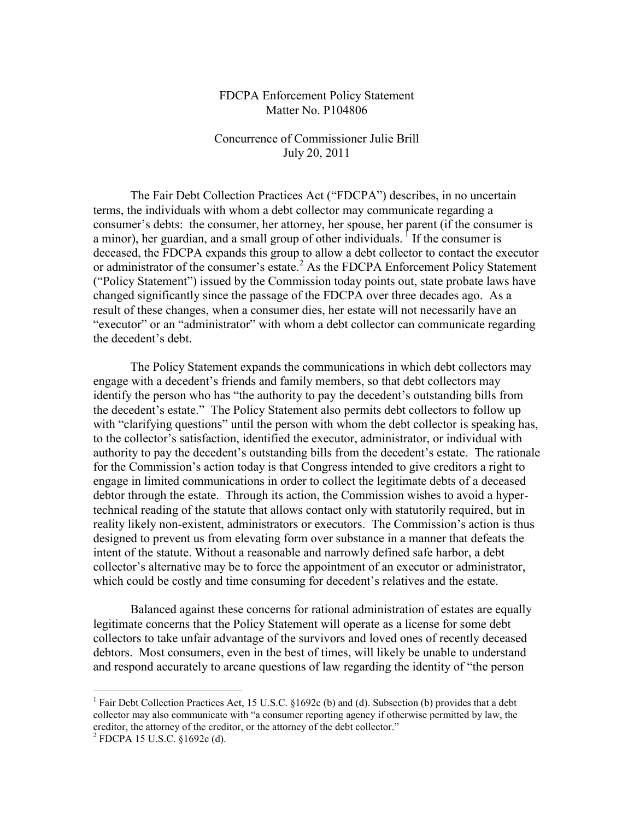## FDCPA Enforcement Policy Statement Matter No. P104806

## Concurrence of Commissioner Julie Brill July 20, 2011

The Fair Debt Collection Practices Act ("FDCPA") describes, in no uncertain terms, the individuals with whom a debt collector may communicate regarding a consumer's debts: the consumer, her attorney, her spouse, her parent (if the consumer is a minor), her guardian, and a small group of other individuals.  $\textsuperscript{1}$  If the consumer is deceased, the FDCPA expands this group to allow a debt collector to contact the executor or administrator of the consumer's estate. <sup>2</sup> As the FDCPA Enforcement Policy Statement ("Policy Statement") issued by the Commission today points out, state probate laws have changed significantly since the passage of the FDCPA over three decades ago. As a result of these changes, when a consumer dies, her estate will not necessarily have an "executor" or an "administrator" with whom a debt collector can communicate regarding the decedent's debt.

The Policy Statement expands the communications in which debt collectors may engage with a decedent's friends and family members, so that debt collectors may identify the person who has "the authority to pay the decedent's outstanding bills from the decedent's estate." The Policy Statement also permits debt collectors to follow up with "clarifying questions" until the person with whom the debt collector is speaking has, to the collector's satisfaction, identified the executor, administrator, or individual with authority to pay the decedent's outstanding bills from the decedent's estate. The rationale for the Commission's action today is that Congress intended to give creditors a right to engage in limited communications in order to collect the legitimate debts of a deceased debtor through the estate. Through its action, the Commission wishes to avoid a hypertechnical reading of the statute that allows contact only with statutorily required, but in reality likely non-existent, administrators or executors. The Commission's action is thus designed to prevent us from elevating form over substance in a manner that defeats the intent of the statute. Without a reasonable and narrowly defined safe harbor, a debt collector's alternative may be to force the appointment of an executor or administrator, which could be costly and time consuming for decedent's relatives and the estate.

Balanced against these concerns for rational administration of estates are equally legitimate concerns that the Policy Statement will operate as a license for some debt collectors to take unfair advantage of the survivors and loved ones of recently deceased debtors. Most consumers, even in the best of times, will likely be unable to understand and respond accurately to arcane questions of law regarding the identity of "the person"

 $\overline{a}$ 

<sup>&</sup>lt;sup>1</sup> Fair Debt Collection Practices Act, 15 U.S.C. §1692c (b) and (d). Subsection (b) provides that a debt collector may also communicate with "a consumer reporting agency if otherwise permitted by law, the creditor, the attorney of the creditor, or the attorney of the debt collector."

<sup>&</sup>lt;sup>2</sup> FDCPA 15 U.S.C. §1692c (d).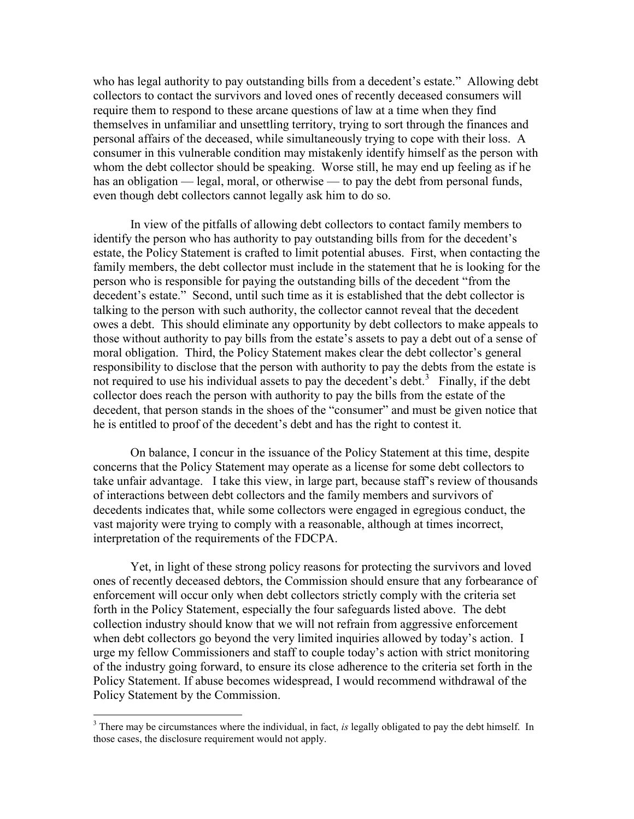who has legal authority to pay outstanding bills from a decedent's estate." Allowing debt collectors to contact the survivors and loved ones of recently deceased consumers will require them to respond to these arcane questions of law at a time when they find themselves in unfamiliar and unsettling territory, trying to sort through the finances and personal affairs of the deceased, while simultaneously trying to cope with their loss. A consumer in this vulnerable condition may mistakenly identify himself as the person with whom the debt collector should be speaking. Worse still, he may end up feeling as if he has an obligation — legal, moral, or otherwise — to pay the debt from personal funds, even though debt collectors cannot legally ask him to do so.

In view of the pitfalls of allowing debt collectors to contact family members to identify the person who has authority to pay outstanding bills from for the decedent's estate, the Policy Statement is crafted to limit potential abuses. First, when contacting the family members, the debt collector must include in the statement that he is looking for the person who is responsible for paying the outstanding bills of the decedent "from the decedent's estate." Second, until such time as it is established that the debt collector is talking to the person with such authority, the collector cannot reveal that the decedent owes a debt. This should eliminate any opportunity by debt collectors to make appeals to those without authority to pay bills from the estate's assets to pay a debt out of a sense of moral obligation. Third, the Policy Statement makes clear the debt collector's general responsibility to disclose that the person with authority to pay the debts from the estate is not required to use his individual assets to pay the decedent's debt.<sup>3</sup> Finally, if the debt collector does reach the person with authority to pay the bills from the estate of the decedent, that person stands in the shoes of the "consumer" and must be given notice that he is entitled to proof of the decedent's debt and has the right to contest it.

On balance, I concur in the issuance of the Policy Statement at this time, despite concerns that the Policy Statement may operate as a license for some debt collectors to take unfair advantage. I take this view, in large part, because staff's review of thousands of interactions between debt collectors and the family members and survivors of decedents indicates that, while some collectors were engaged in egregious conduct, the vast majority were trying to comply with a reasonable, although at times incorrect, interpretation of the requirements of the FDCPA.

Yet, in light of these strong policy reasons for protecting the survivors and loved ones of recently deceased debtors, the Commission should ensure that any forbearance of enforcement will occur only when debt collectors strictly comply with the criteria set forth in the Policy Statement, especially the four safeguards listed above. The debt collection industry should know that we will not refrain from aggressive enforcement when debt collectors go beyond the very limited inquiries allowed by today's action. I urge my fellow Commissioners and staff to couple today's action with strict monitoring of the industry going forward, to ensure its close adherence to the criteria set forth in the Policy Statement. If abuse becomes widespread, I would recommend withdrawal of the Policy Statement by the Commission.

 $\overline{a}$ 

<sup>&</sup>lt;sup>3</sup> There may be circumstances where the individual, in fact, *is* legally obligated to pay the debt himself. In those cases, the disclosure requirement would not apply.